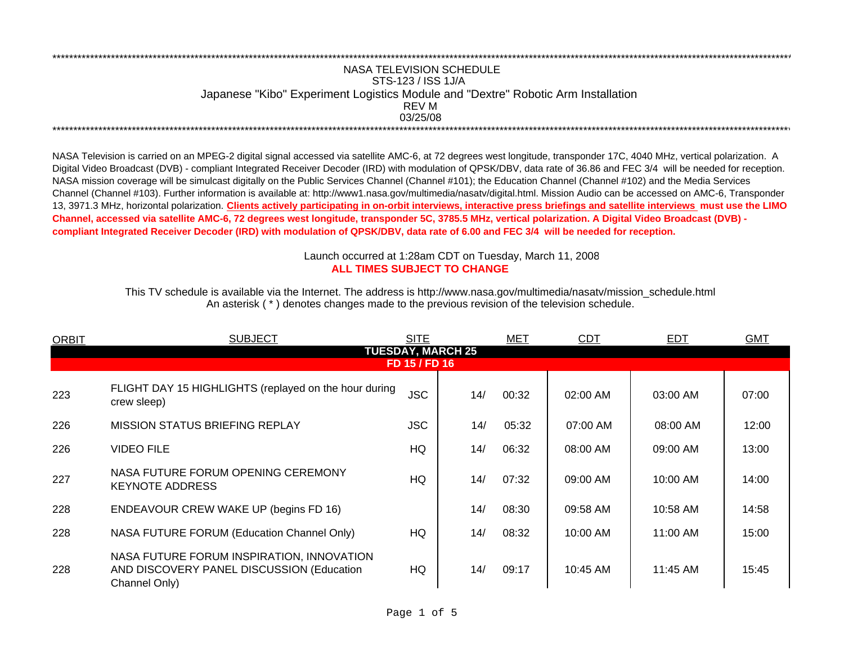## NASA TELEVISION SCHEDULESTS-123 / ISS 1J/A Japanese "Kibo" Experiment Logistics Module and "Dextre" Robotic Arm Installation 03/25/08REV M\*\*\*\*\*\*\*\*\*\*\*\*\*\*\*\*\*\*\*\*\*\*\*\*\*\*\*\*\*\*\*\*\*\*\*\*\*\*\*\*\*\*\*\*\*\*\*\*\*\*\*\*\*\*\*\*\*\*\*\*\*\*\*\*\*\*\*\*\*\*\*\*\*\*\*\*\*\*\*\*\*\*\*\*\*\*\*\*\*\*\*\*\*\*\*\*\*\*\*\*\*\*\*\*\*\*\*\*\*\*\*\*\*\*\*\*\*\*\*\*\*\*\*\*\*\*\*\*\*\*\*\*\*\*\*\*\*\*\*\*\*\*\*\*\*\*\*\*\*\*\*\*\*\*\*\*\*\*\*\*\*\*\*\*\*\*\*\*\*\*\*\*\*\*\*\*\*

\*\*\*\*\*\*\*\*\*\*\*\*\*\*\*\*\*\*\*\*\*\*\*\*\*\*\*\*\*\*\*\*\*\*\*\*\*\*\*\*\*\*\*\*\*\*\*\*\*\*\*\*\*\*\*\*\*\*\*\*\*\*\*\*\*\*\*\*\*\*\*\*\*\*\*\*\*\*\*\*\*\*\*\*\*\*\*\*\*\*\*\*\*\*\*\*\*\*\*\*\*\*\*\*\*\*\*\*\*\*\*\*\*\*\*\*\*\*\*\*\*\*\*\*\*\*\*\*\*\*\*\*\*\*\*\*\*\*\*\*\*\*\*\*\*\*\*\*\*\*\*\*\*\*\*\*\*\*\*\*\*\*\*\*\*\*\*\*\*\*\*\*\*\*\*\*\*

NASA Television is carried on an MPEG-2 digital signal accessed via satellite AMC-6, at 72 degrees west longitude, transponder 17C, 4040 MHz, vertical polarization. A Digital Video Broadcast (DVB) - compliant Integrated Receiver Decoder (IRD) with modulation of QPSK/DBV, data rate of 36.86 and FEC 3/4 will be needed for reception. NASA mission coverage will be simulcast digitally on the Public Services Channel (Channel #101); the Education Channel (Channel #102) and the Media Services Channel (Channel #103). Further information is available at: http://www1.nasa.gov/multimedia/nasatv/digital.html. Mission Audio can be accessed on AMC-6, Transponder 13, 3971.3 MHz, horizontal polarization. **Clients actively participating in on-orbit interviews, interactive press briefings and satellite interviews must use the LIMO Channel, accessed via satellite AMC-6, 72 degrees west longitude, transponder 5C, 3785.5 MHz, vertical polarization. A Digital Video Broadcast (DVB) compliant Integrated Receiver Decoder (IRD) with modulation of QPSK/DBV, data rate of 6.00 and FEC 3/4 will be needed for reception.**

## **ALL TIMES SUBJECT TO CHANGE**Launch occurred at 1:28am CDT on Tuesday, March 11, 200 8

An asterisk ( \* ) denotes changes made to the previous revision of the television schedule. This TV schedule is available via the Internet. The address is http://www.nasa.gov/multimedia/nasatv/mission\_schedule.html

| <b>ORBIT</b>                              | <b>SUBJECT</b>                                                                                          | <b>SITE</b> |     | <b>MET</b> | <b>CDT</b> | <b>EDT</b> | <b>GMT</b> |  |  |  |
|-------------------------------------------|---------------------------------------------------------------------------------------------------------|-------------|-----|------------|------------|------------|------------|--|--|--|
| <b>TUESDAY, MARCH 25</b><br>FD 15 / FD 16 |                                                                                                         |             |     |            |            |            |            |  |  |  |
|                                           |                                                                                                         |             |     |            |            |            |            |  |  |  |
| 223                                       | FLIGHT DAY 15 HIGHLIGHTS (replayed on the hour during<br>crew sleep)                                    | <b>JSC</b>  | 14/ | 00:32      | 02:00 AM   | 03:00 AM   | 07:00      |  |  |  |
| 226                                       | MISSION STATUS BRIEFING REPLAY                                                                          | <b>JSC</b>  | 14/ | 05:32      | 07:00 AM   | 08:00 AM   | 12:00      |  |  |  |
| 226                                       | <b>VIDEO FILE</b>                                                                                       | HQ          | 14/ | 06:32      | 08:00 AM   | 09:00 AM   | 13:00      |  |  |  |
| 227                                       | NASA FUTURE FORUM OPENING CEREMONY<br><b>KEYNOTE ADDRESS</b>                                            | HQ          | 14/ | 07:32      | 09:00 AM   | 10:00 AM   | 14:00      |  |  |  |
| 228                                       | <b>ENDEAVOUR CREW WAKE UP (begins FD 16)</b>                                                            |             | 14/ | 08:30      | 09:58 AM   | 10:58 AM   | 14:58      |  |  |  |
| 228                                       | <b>NASA FUTURE FORUM (Education Channel Only)</b>                                                       | HQ          | 14/ | 08:32      | 10:00 AM   | 11:00 AM   | 15:00      |  |  |  |
| 228                                       | NASA FUTURE FORUM INSPIRATION, INNOVATION<br>AND DISCOVERY PANEL DISCUSSION (Education<br>Channel Only) | HQ          | 14/ | 09:17      | 10:45 AM   | 11:45 AM   | 15:45      |  |  |  |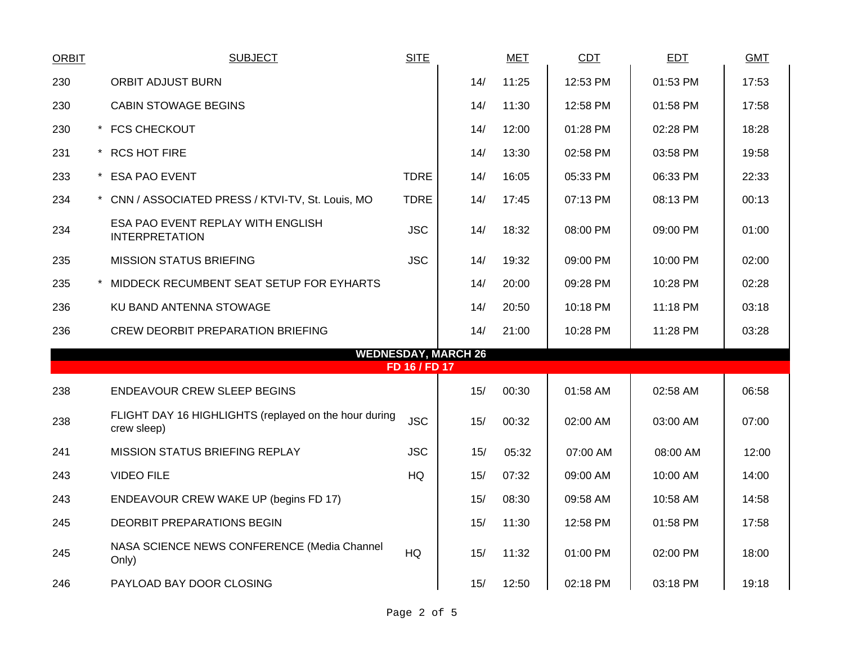| <b>ORBIT</b>               |  | <b>SUBJECT</b>                                                       | <b>SITE</b>   |     | <b>MET</b> | CDT      | <b>EDT</b> | <b>GMT</b> |  |  |
|----------------------------|--|----------------------------------------------------------------------|---------------|-----|------------|----------|------------|------------|--|--|
| 230                        |  | <b>ORBIT ADJUST BURN</b>                                             |               | 14/ | 11:25      | 12:53 PM | 01:53 PM   | 17:53      |  |  |
| 230                        |  | <b>CABIN STOWAGE BEGINS</b>                                          |               | 14/ | 11:30      | 12:58 PM | 01:58 PM   | 17:58      |  |  |
| 230                        |  | * FCS CHECKOUT                                                       |               | 14/ | 12:00      | 01:28 PM | 02:28 PM   | 18:28      |  |  |
| 231                        |  | * RCS HOT FIRE                                                       |               | 14/ | 13:30      | 02:58 PM | 03:58 PM   | 19:58      |  |  |
| 233                        |  | * ESA PAO EVENT                                                      | <b>TDRE</b>   | 14/ | 16:05      | 05:33 PM | 06:33 PM   | 22:33      |  |  |
| 234                        |  | * CNN / ASSOCIATED PRESS / KTVI-TV, St. Louis, MO                    | <b>TDRE</b>   | 14/ | 17:45      | 07:13 PM | 08:13 PM   | 00:13      |  |  |
| 234                        |  | ESA PAO EVENT REPLAY WITH ENGLISH<br><b>INTERPRETATION</b>           | <b>JSC</b>    | 14/ | 18:32      | 08:00 PM | 09:00 PM   | 01:00      |  |  |
| 235                        |  | <b>MISSION STATUS BRIEFING</b>                                       | <b>JSC</b>    | 14/ | 19:32      | 09:00 PM | 10:00 PM   | 02:00      |  |  |
| 235                        |  | MIDDECK RECUMBENT SEAT SETUP FOR EYHARTS                             |               | 14/ | 20:00      | 09:28 PM | 10:28 PM   | 02:28      |  |  |
| 236                        |  | KU BAND ANTENNA STOWAGE                                              |               | 14/ | 20:50      | 10:18 PM | 11:18 PM   | 03:18      |  |  |
| 236                        |  | <b>CREW DEORBIT PREPARATION BRIEFING</b>                             |               | 14/ | 21:00      | 10:28 PM | 11:28 PM   | 03:28      |  |  |
| <b>WEDNESDAY, MARCH 26</b> |  |                                                                      |               |     |            |          |            |            |  |  |
|                            |  |                                                                      | FD 16 / FD 17 |     |            |          |            |            |  |  |
| 238                        |  | <b>ENDEAVOUR CREW SLEEP BEGINS</b>                                   |               | 15/ | 00:30      | 01:58 AM | 02:58 AM   | 06:58      |  |  |
| 238                        |  | FLIGHT DAY 16 HIGHLIGHTS (replayed on the hour during<br>crew sleep) | <b>JSC</b>    | 15/ | 00:32      | 02:00 AM | 03:00 AM   | 07:00      |  |  |
| 241                        |  | MISSION STATUS BRIEFING REPLAY                                       | <b>JSC</b>    | 15/ | 05:32      | 07:00 AM | 08:00 AM   | 12:00      |  |  |
| 243                        |  | <b>VIDEO FILE</b>                                                    | HQ            | 15/ | 07:32      | 09:00 AM | 10:00 AM   | 14:00      |  |  |
| 243                        |  | ENDEAVOUR CREW WAKE UP (begins FD 17)                                |               | 15/ | 08:30      | 09:58 AM | 10:58 AM   | 14:58      |  |  |
| 245                        |  | <b>DEORBIT PREPARATIONS BEGIN</b>                                    |               | 15/ | 11:30      | 12:58 PM | 01:58 PM   | 17:58      |  |  |
| 245                        |  | NASA SCIENCE NEWS CONFERENCE (Media Channel<br>Only)                 | HQ            | 15/ | 11:32      | 01:00 PM | 02:00 PM   | 18:00      |  |  |
| 246                        |  | PAYLOAD BAY DOOR CLOSING                                             |               | 15/ | 12:50      | 02:18 PM | 03:18 PM   | 19:18      |  |  |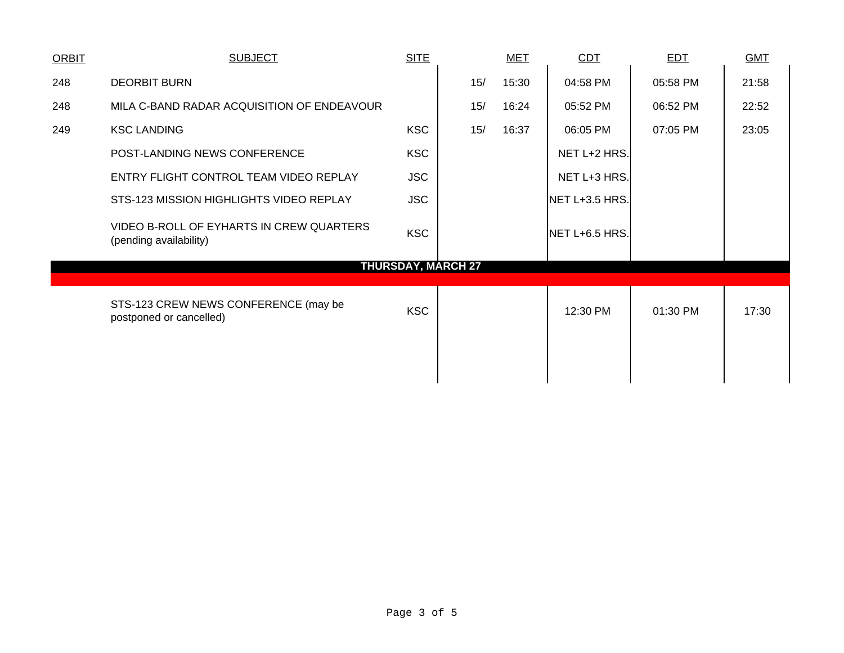| <b>ORBIT</b>              | <b>SUBJECT</b>                                                     | <b>SITE</b> |     |  | <b>MET</b> | <b>CDT</b>     | <b>EDT</b> | <b>GMT</b> |  |
|---------------------------|--------------------------------------------------------------------|-------------|-----|--|------------|----------------|------------|------------|--|
| 248                       | <b>DEORBIT BURN</b>                                                |             | 15/ |  | 15:30      | 04:58 PM       | 05:58 PM   | 21:58      |  |
| 248                       | MILA C-BAND RADAR ACQUISITION OF ENDEAVOUR                         |             | 15/ |  | 16:24      | 05:52 PM       | 06:52 PM   | 22:52      |  |
| 249                       | <b>KSC LANDING</b>                                                 | <b>KSC</b>  | 15/ |  | 16:37      | 06:05 PM       | 07:05 PM   | 23:05      |  |
|                           | POST-LANDING NEWS CONFERENCE                                       | <b>KSC</b>  |     |  |            | NET L+2 HRS.   |            |            |  |
|                           | ENTRY FLIGHT CONTROL TEAM VIDEO REPLAY                             | <b>JSC</b>  |     |  |            | NET L+3 HRS.   |            |            |  |
|                           | STS-123 MISSION HIGHLIGHTS VIDEO REPLAY                            | <b>JSC</b>  |     |  |            | NET L+3.5 HRS. |            |            |  |
|                           | VIDEO B-ROLL OF EYHARTS IN CREW QUARTERS<br>(pending availability) | <b>KSC</b>  |     |  |            | NET L+6.5 HRS. |            |            |  |
| <b>THURSDAY, MARCH 27</b> |                                                                    |             |     |  |            |                |            |            |  |
|                           | STS-123 CREW NEWS CONFERENCE (may be<br>postponed or cancelled)    | <b>KSC</b>  |     |  |            | 12:30 PM       | 01:30 PM   | 17:30      |  |
|                           |                                                                    |             |     |  |            |                |            |            |  |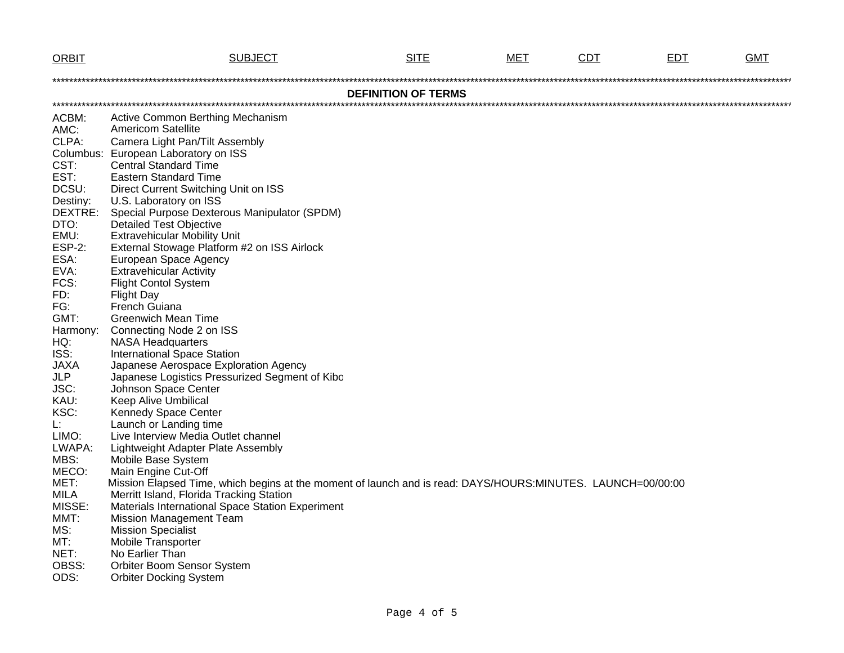| <b>ORBIT</b>  | <b>SUBJECT</b>                                                                                              | <b>SITE</b>                | MET | CDT | <b>EDT</b> | <b>GMT</b> |
|---------------|-------------------------------------------------------------------------------------------------------------|----------------------------|-----|-----|------------|------------|
|               |                                                                                                             |                            |     |     |            |            |
|               |                                                                                                             | <b>DEFINITION OF TERMS</b> |     |     |            |            |
|               |                                                                                                             |                            |     |     |            |            |
| ACBM:         | Active Common Berthing Mechanism<br><b>Americom Satellite</b>                                               |                            |     |     |            |            |
| AMC:          |                                                                                                             |                            |     |     |            |            |
| CLPA:         | Camera Light Pan/Tilt Assembly                                                                              |                            |     |     |            |            |
| CST:          | Columbus: European Laboratory on ISS<br><b>Central Standard Time</b>                                        |                            |     |     |            |            |
| EST:          | <b>Eastern Standard Time</b>                                                                                |                            |     |     |            |            |
| DCSU:         | Direct Current Switching Unit on ISS                                                                        |                            |     |     |            |            |
| Destiny:      | U.S. Laboratory on ISS                                                                                      |                            |     |     |            |            |
| DEXTRE:       | Special Purpose Dexterous Manipulator (SPDM)                                                                |                            |     |     |            |            |
| DTO:          | <b>Detailed Test Objective</b>                                                                              |                            |     |     |            |            |
| EMU:          | <b>Extravehicular Mobility Unit</b>                                                                         |                            |     |     |            |            |
| <b>ESP-2:</b> | External Stowage Platform #2 on ISS Airlock                                                                 |                            |     |     |            |            |
| ESA:          | European Space Agency                                                                                       |                            |     |     |            |            |
| EVA:          | <b>Extravehicular Activity</b>                                                                              |                            |     |     |            |            |
| FCS:          | <b>Flight Contol System</b>                                                                                 |                            |     |     |            |            |
| FD:           | <b>Flight Day</b>                                                                                           |                            |     |     |            |            |
| FG:           | French Guiana                                                                                               |                            |     |     |            |            |
| GMT:          | <b>Greenwich Mean Time</b>                                                                                  |                            |     |     |            |            |
| Harmony:      | Connecting Node 2 on ISS                                                                                    |                            |     |     |            |            |
| HQ:           | <b>NASA Headquarters</b>                                                                                    |                            |     |     |            |            |
| ISS:          | <b>International Space Station</b>                                                                          |                            |     |     |            |            |
| <b>JAXA</b>   | Japanese Aerospace Exploration Agency                                                                       |                            |     |     |            |            |
| <b>JLP</b>    | Japanese Logistics Pressurized Segment of Kibo                                                              |                            |     |     |            |            |
| JSC:          | Johnson Space Center                                                                                        |                            |     |     |            |            |
| KAU:          | Keep Alive Umbilical                                                                                        |                            |     |     |            |            |
| KSC:          | Kennedy Space Center                                                                                        |                            |     |     |            |            |
| L:<br>LIMO:   | Launch or Landing time<br>Live Interview Media Outlet channel                                               |                            |     |     |            |            |
| LWAPA:        | Lightweight Adapter Plate Assembly                                                                          |                            |     |     |            |            |
| MBS:          | Mobile Base System                                                                                          |                            |     |     |            |            |
| MECO:         | Main Engine Cut-Off                                                                                         |                            |     |     |            |            |
| MET:          | Mission Elapsed Time, which begins at the moment of launch and is read: DAYS/HOURS:MINUTES. LAUNCH=00/00:00 |                            |     |     |            |            |
| <b>MILA</b>   | Merritt Island, Florida Tracking Station                                                                    |                            |     |     |            |            |
| MISSE:        | Materials International Space Station Experiment                                                            |                            |     |     |            |            |
| MMT:          | <b>Mission Management Team</b>                                                                              |                            |     |     |            |            |
| MS:           | <b>Mission Specialist</b>                                                                                   |                            |     |     |            |            |
| MT:           | <b>Mobile Transporter</b>                                                                                   |                            |     |     |            |            |
| NET:          | No Earlier Than                                                                                             |                            |     |     |            |            |
| OBSS:         | Orbiter Boom Sensor System                                                                                  |                            |     |     |            |            |
| ODS:          | <b>Orbiter Docking System</b>                                                                               |                            |     |     |            |            |